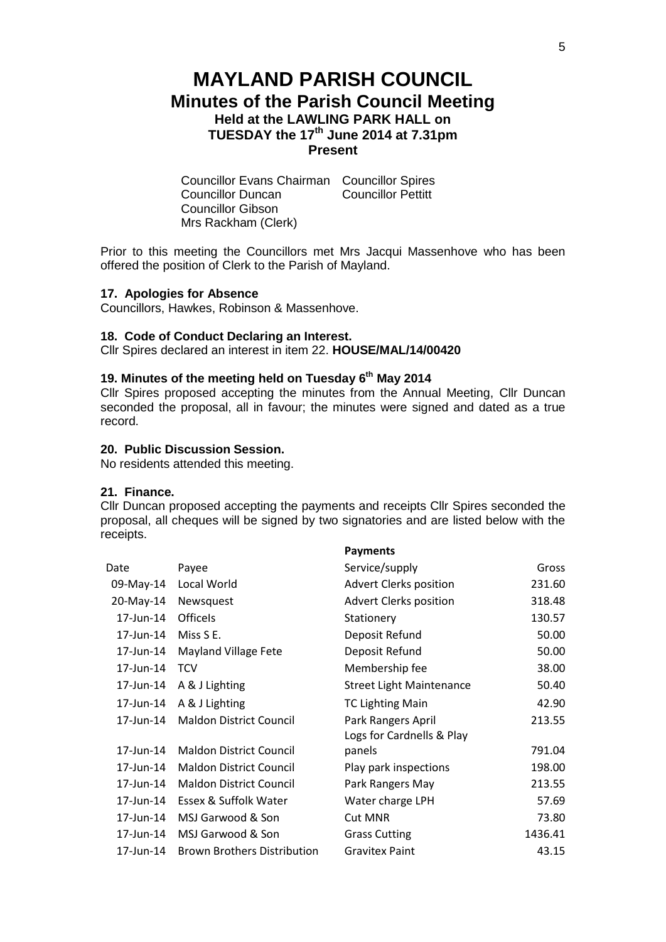# **MAYLAND PARISH COUNCIL Minutes of the Parish Council Meeting Held at the LAWLING PARK HALL on TUESDAY the 17th June 2014 at 7.31pm Present**

Councillor Evans Chairman Councillor Spires Councillor Duncan Councillor Gibson Mrs Rackham (Clerk)

Prior to this meeting the Councillors met Mrs Jacqui Massenhove who has been offered the position of Clerk to the Parish of Mayland.

#### **17. Apologies for Absence**

Councillors, Hawkes, Robinson & Massenhove.

### **18. Code of Conduct Declaring an Interest.**

Cllr Spires declared an interest in item 22. **HOUSE/MAL/14/00420**

# **19. Minutes of the meeting held on Tuesday 6 th May 2014**

Cllr Spires proposed accepting the minutes from the Annual Meeting, Cllr Duncan seconded the proposal, all in favour; the minutes were signed and dated as a true record.

## **20. Public Discussion Session.**

No residents attended this meeting.

## **21. Finance.**

Cllr Duncan proposed accepting the payments and receipts Cllr Spires seconded the proposal, all cheques will be signed by two signatories and are listed below with the receipts.

**Payments**

|           |                                    | <b>Fayllielits</b>              |         |
|-----------|------------------------------------|---------------------------------|---------|
| Date      | Payee                              | Service/supply                  | Gross   |
| 09-May-14 | Local World                        | Advert Clerks position          | 231.60  |
| 20-May-14 | Newsquest                          | <b>Advert Clerks position</b>   | 318.48  |
| 17-Jun-14 | <b>Officels</b>                    | Stationery                      | 130.57  |
| 17-Jun-14 | Miss S E.                          | Deposit Refund                  | 50.00   |
| 17-Jun-14 | Mayland Village Fete               | Deposit Refund                  | 50.00   |
| 17-Jun-14 | <b>TCV</b>                         | Membership fee                  | 38.00   |
| 17-Jun-14 | A & J Lighting                     | <b>Street Light Maintenance</b> | 50.40   |
| 17-Jun-14 | A & J Lighting                     | <b>TC Lighting Main</b>         | 42.90   |
| 17-Jun-14 | <b>Maldon District Council</b>     | Park Rangers April              | 213.55  |
|           |                                    | Logs for Cardnells & Play       |         |
| 17-Jun-14 | <b>Maldon District Council</b>     | panels                          | 791.04  |
| 17-Jun-14 | <b>Maldon District Council</b>     | Play park inspections           | 198.00  |
| 17-Jun-14 | <b>Maldon District Council</b>     | Park Rangers May                | 213.55  |
| 17-Jun-14 | Essex & Suffolk Water              | Water charge LPH                | 57.69   |
| 17-Jun-14 | MSJ Garwood & Son                  | <b>Cut MNR</b>                  | 73.80   |
| 17-Jun-14 | MSJ Garwood & Son                  | <b>Grass Cutting</b>            | 1436.41 |
| 17-Jun-14 | <b>Brown Brothers Distribution</b> | <b>Gravitex Paint</b>           | 43.15   |
|           |                                    |                                 |         |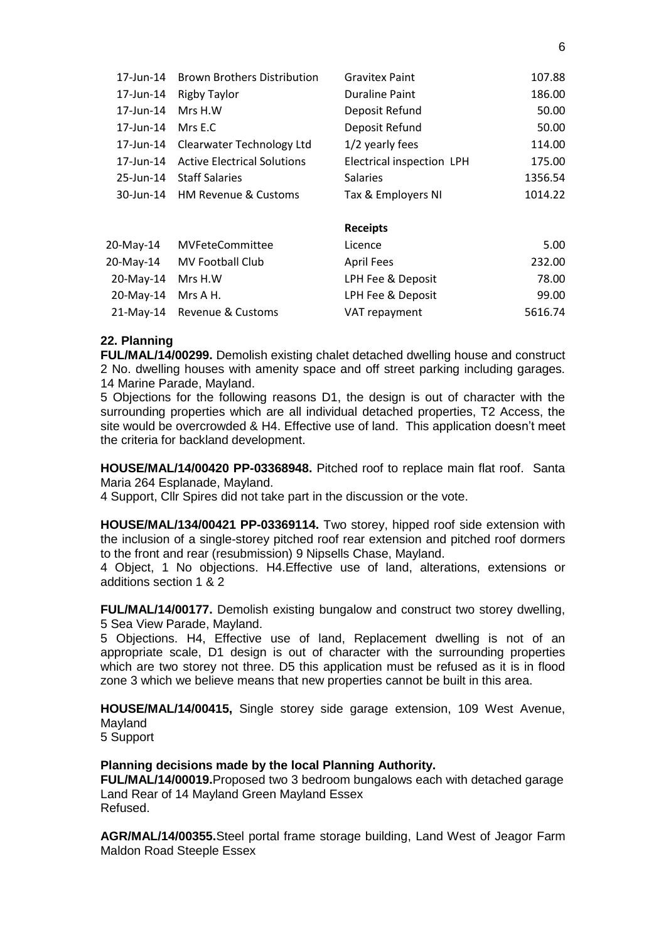| 17-Jun-14 | <b>Brown Brothers Distribution</b> | <b>Gravitex Paint</b>     | 107.88  |
|-----------|------------------------------------|---------------------------|---------|
| 17-Jun-14 | <b>Rigby Taylor</b>                | <b>Duraline Paint</b>     | 186.00  |
| 17-Jun-14 | Mrs H.W                            | Deposit Refund            | 50.00   |
| 17-Jun-14 | Mrs E.C                            | Deposit Refund            | 50.00   |
| 17-Jun-14 | Clearwater Technology Ltd          | 1/2 yearly fees           | 114.00  |
| 17-Jun-14 | <b>Active Electrical Solutions</b> | Electrical inspection LPH | 175.00  |
| 25-Jun-14 | <b>Staff Salaries</b>              | <b>Salaries</b>           | 1356.54 |
| 30-Jun-14 | <b>HM Revenue &amp; Customs</b>    | Tax & Employers NI        | 1014.22 |
|           |                                    | <b>Receipts</b>           |         |
| 20-May-14 | <b>MVFeteCommittee</b>             | Licence                   | 5.00    |
| 20-May-14 | MV Football Club                   | <b>April Fees</b>         | 232.00  |
| 20-May-14 | Mrs H.W                            | LPH Fee & Deposit         | 78.00   |
| 20-May-14 | Mrs A H.                           | LPH Fee & Deposit         | 99.00   |
| 21-May-14 | Revenue & Customs                  | VAT repayment             | 5616.74 |

## **22. Planning**

**FUL/MAL/14/00299.** Demolish existing chalet detached dwelling house and construct 2 No. dwelling houses with amenity space and off street parking including garages. 14 Marine Parade, Mayland.

5 Objections for the following reasons D1, the design is out of character with the surrounding properties which are all individual detached properties, T2 Access, the site would be overcrowded & H4. Effective use of land. This application doesn't meet the criteria for backland development.

**HOUSE/MAL/14/00420 PP-03368948.** Pitched roof to replace main flat roof. Santa Maria 264 Esplanade, Mayland.

4 Support, Cllr Spires did not take part in the discussion or the vote.

**HOUSE/MAL/134/00421 PP-03369114.** Two storey, hipped roof side extension with the inclusion of a single-storey pitched roof rear extension and pitched roof dormers to the front and rear (resubmission) 9 Nipsells Chase, Mayland.

4 Object, 1 No objections. H4.Effective use of land, alterations, extensions or additions section 1 & 2

**FUL/MAL/14/00177.** Demolish existing bungalow and construct two storey dwelling, 5 Sea View Parade, Mayland.

5 Objections. H4, Effective use of land, Replacement dwelling is not of an appropriate scale, D1 design is out of character with the surrounding properties which are two storey not three. D5 this application must be refused as it is in flood zone 3 which we believe means that new properties cannot be built in this area.

**HOUSE/MAL/14/00415,** Single storey side garage extension, 109 West Avenue, Mayland

5 Support

# **Planning decisions made by the local Planning Authority.**

**FUL/MAL/14/00019.**Proposed two 3 bedroom bungalows each with detached garage Land Rear of 14 Mayland Green Mayland Essex Refused.

**AGR/MAL/14/00355.**Steel portal frame storage building, Land West of Jeagor Farm Maldon Road Steeple Essex